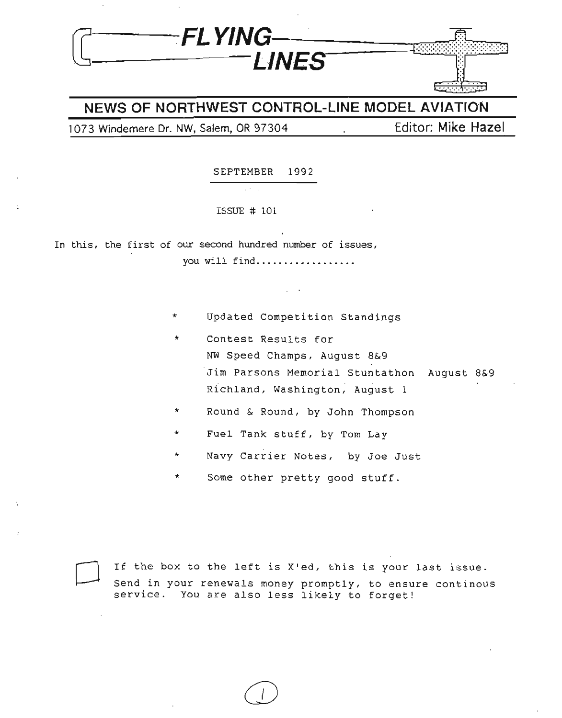

### **NEWS OF NORTHWEST CONTROL-LINE MODEL AVIATION**

### 1073 Windemere Dr. NW, Salem, OR 97304 **Editor: Mike Hazel**

SEPTEMBER 1992

ISSUE # 101

 $\mathbb{Z}^{(2)}$  .  $\mathbb{Z}$ 

In this, the first of our second hundred number of issues, you will find..................

- \* Updated Competition Standings
- \* Contest Results for NW Speed Champs, August 8&9 Jim Parsons Memorial Stuntathon August 8&9 Richland, Washington, August 1
- \* Round & Round, by John Thompson
- \* Fuel Tank stuff, by Tom Lay
- Navy Carrier Notes, by Joe Just
- Some other pretty good stuff.



If the box to the left is X'ed, this is your last issue. Send in your renewals money promptly, to ensure continous service. You are also less likely to forget!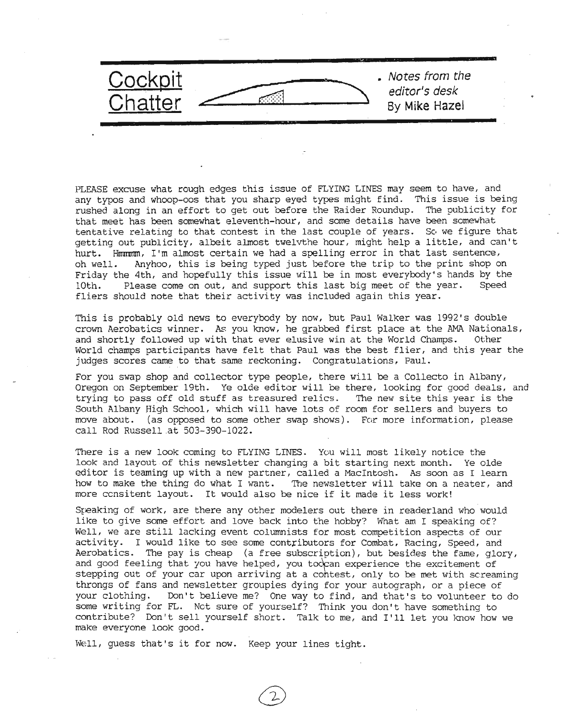

PLEASE excuse what rough edges this issue of FLYING LINES may seem to have, and any typos and whoop-oos that you sharp eyed types might find. This issue is being rushed along in an effort to get out before the Raider Roundup. The publicity for that meet has been somewhat eleventh-hour, and some details have been somewhat tentative relating to that contest in the last couple of years. So we figure that getting out publicity, albeit almost twelvthe hour, might help a little, and can't hurt. Hummm, I'm almost certain we had a spelling error in that last sentence, oh well. Anyhoo, this is being typed just before the trip to the print shop on Friday the 4th, and hopefully this issue will be in most everybody's hands by the 10th. Please come on out, and support this last big meet of the year. Speed fliers should note that their activity was inCluded again this year.

This is probably old news to everybody by now, but Paul Walker was 1992's double crown Aerobatics winner. As you know, he grabbed first place at the AMA Nationals, and shortly followed up with that ever elusive win at the World Champs. Other World champs participants have felt that Paul was the best flier, and this year the judges scores came to that same reckoning. Congratulations, Paul.

For *you* swap shop and collector type people, there will be a Collecto in Albany, Oregon on September 19th. Ye olde editor will be there, looking for good deals, and trying to pass off old stuff as treasured relics. The new site this year is the South Albany High School, which will have lots of room for sellers and buyers to move about. (as opposed to some other swap shows). For more information, please call Rod Russell at 503-390-1022.

There is a new look coming to FLYING LINES. You will most likely notice the look and layout of this newsletter changing a bit starting next month. Ye olde editor is teaming up with a new partner, called a MacIntosh. As soon as I learn how to make the thing do what I want. The newsletter will take on a neater, and more ccnsitent layout. It would also be nice if it made it less work!

Speaking of work, are there any other modelers out there in readerland who would like to give some effort and love back into the hobby? What am I speaking of? Well, we are still lacking event columnists for most competition aspects of our activity. I would like to see some contributors for Combat, Racing, Speed, and Aerobatics. The pay is cheap (a free subscription), but besides the fame, glory, and good feeling that you have helped, you too can experience the excitement of stepping out of your car upon arriving at a cohtest, only to be met with screaming throngs of fans and newsletter groupies dying for your autograph, or a piece of *your* clothing. Don't believe me? One way to find, and that's to volunteer to do some writing for FL. Net sure of yourself? Think you don't have something to contribute? Don't sell yourself short. Talk to me, and I'll let you know how we make everyone look good.

Well, guess that's it for now. Keep your lines tight.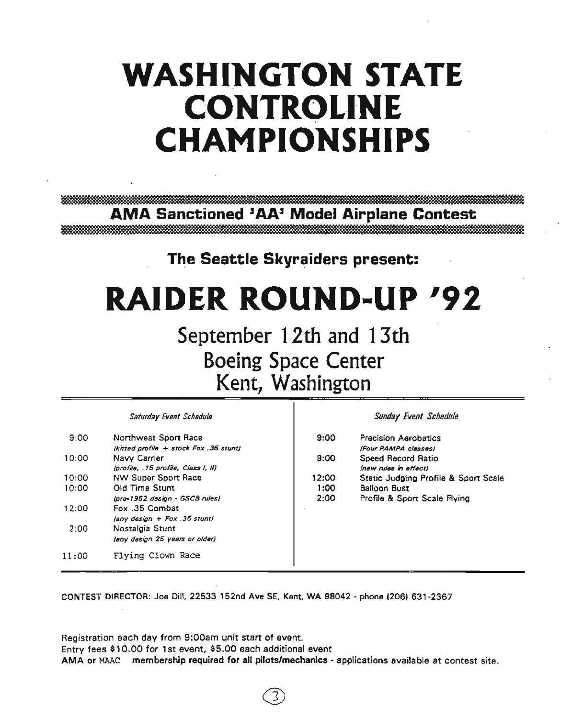# WASHINGTON STATE **CONTROLINE CHAMPIONSHIPS**

**AMA Sanctioned 'AAJ Model Airplane Contest**

**The Seattle Skyraiders present:** 

# **RAIDER ROUND-UP 192**

**September 12th and 13th Boeing Space Center Kent, Washington**

*Saturday Event Scheduls*

| 9:00  | Northwest Sport Race                                   |
|-------|--------------------------------------------------------|
| 10:00 | (knted profile + stock Fox , 35 stunt)<br>Navy Carrier |
|       | (profile, 15 profile, Class I, II)                     |
| 10:00 | <b>NW Super Sport Race</b>                             |
| 10:00 | Old Time Stunt                                         |
|       | Ipra-1962 design - GSCB rules)                         |
| 12:00 | Fox .35 Combat                                         |
|       | (any design + Fox .35 stunt)                           |
| 2:00  | Nostalgia Stunt                                        |
|       | (any design 25 years or older)                         |
| 11:00 | Flyina Clown Race                                      |

*Sunday Event Schedule*

| 9:00  | Precision Aerobatics                 |
|-------|--------------------------------------|
|       | (Four PAMPA classes)                 |
| 9:00  | Speed Record Ratio                   |
|       | (new rules in affect)                |
| 12:00 | Static Judging Profile & Sport Scale |
| 1:00  | <b>Balloon Bust</b>                  |
| 2:00  | Profile & Sport Scale Flying         |
|       |                                      |
|       |                                      |

CONTEST DIRECTOR: Joe Dill, 22533 152nd Ave SE, Kent, WA 98042 • phone (206) 631-2367

Registration each day from 9:00am unit start of event. Entry fees \$10.00 for 1st event, \$5.00 each additional event AMA or MAAC membership required for all pilots/mechanics- applications available at contest site.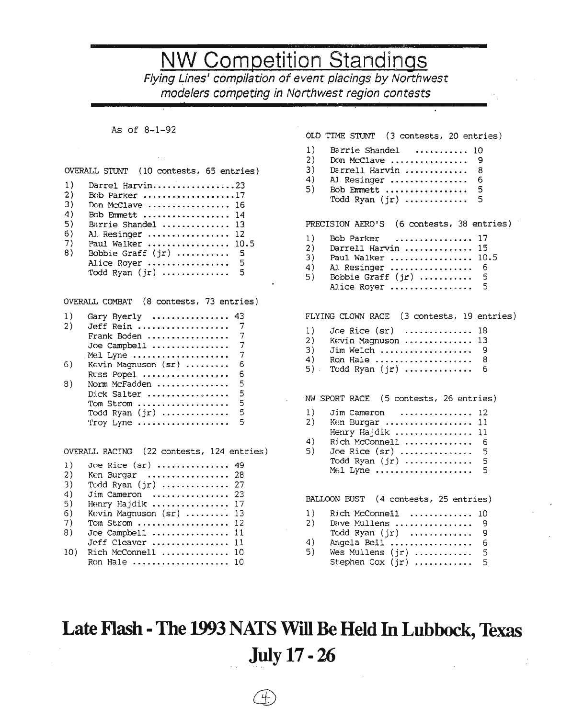## **NW Competition Standings**

Flying Lines' compilation of event placings *by* Northwest modelers competing in Northwest region contests

### As of 8-1-92

#### OVERALL STUNT (10 contests, 65 entries)

| 1) | Darrel Harvin23       |  |
|----|-----------------------|--|
|    |                       |  |
| 2) | Bob Parker 17         |  |
| 3) | Don McClave  16       |  |
| 4) | Bob Emmett  14        |  |
| 5) | Barrie Shandel  13    |  |
| 6) | Al. Resinger  12      |  |
| 7) | Paul Walker  10.5     |  |
| 8) | Bobbie Graff $(ir)$ 5 |  |
|    | Alice Royer  5        |  |
|    | Todd Ryan $(jr)$ 5    |  |

OVERALL COMBAT (8 contests, 73 entries)

| 1) | Gary Byerly           | 43 |
|----|-----------------------|----|
| 2) | Jeff Rein             | 7  |
|    | Frank Boden           | 7  |
|    | Joe Campbell          | 7  |
|    | Mel Lyne              | 7  |
| 6) | Kevin Magnuson $(sr)$ | 6. |
|    | $R$ uss Popel         | 6  |
| 8) | Norm McFadden         | 5  |
|    | Dick Salter           | 5  |
|    | Tom Strom             | 5  |
|    | Todd Ryan (jr)        | 5  |
|    | $Troy$ Lyne           | 5  |
|    |                       |    |

OVERALL RACING (22 contests, 124 entries)

| $\mathbf{1}$ ) | Joe Rice (sr)  49                                    |  |
|----------------|------------------------------------------------------|--|
| 2)             | Ken Burgar  28                                       |  |
| 3)             | Todd Ryan (jr)  27                                   |  |
| 4)             | Jim Cameron  23                                      |  |
| 5)             | Henry Hajdik  17                                     |  |
| 6)             | Kevin Magnuson (sr)  13                              |  |
| 7)             | Tom Strom $12$                                       |  |
| 8)             | Joe Campbell $\dots\dots\dots\dots\dots$             |  |
|                | Jeff Cleaver  11                                     |  |
| 10)            | $Rich$ McConnell $\ldots\ldots\ldots\ldots\ldots$ 10 |  |
|                | Ron Hale  10                                         |  |

|                            | OLD TIME STUNT (3 contests, 20 entries)                                                                                                                                |
|----------------------------|------------------------------------------------------------------------------------------------------------------------------------------------------------------------|
| 1)<br>2)<br>3)<br>4)<br>5) | Barrie Shandel<br>10<br>Don McClave<br>-9<br>Darrell Harvin<br>8<br>AJ Resinger<br>6<br>5<br>Bob Emmett<br>5<br>Todd Ryan $(jr)$                                       |
|                            | PRECISION AERO'S (6 contests, 38 entries)                                                                                                                              |
| 1)<br>2)<br>3)<br>4)       | Bob Parker<br>17<br>15<br>Darrell Harvin<br>10.5<br>Paul Walker<br>AJ Resinger<br>- 6<br>5) Bobbie Graff $(jr)$<br>5<br>- 5<br>Alice Royer                             |
|                            | FLYING CLOWN RACE (3 contests, 19 entries)                                                                                                                             |
| 1)<br>2)                   | Joe Rice $(sr)$ 18<br>Kevin Magnuson<br>13<br>$3)$ Jim Welch  9<br>4) Ron Hale  8<br>5) Todd Ryan $(jr)$<br>- 6                                                        |
|                            | NW SPORT RACE (5 contests, 26 entries)                                                                                                                                 |
| 1)<br>2)<br>4)<br>5)       | Jim Cameron<br>12<br>Ken Burgar<br>11<br>Henry Hajdik<br>11<br>Rich McConnell<br>- 6<br>Joe Rice $(sr)$<br>5<br>Todd Ryan $(jr)$<br>- 5<br>$5\overline{2}$<br>Mel Lyne |
|                            | BALLOON BUST (4 contests, 25 entries)                                                                                                                                  |
| 1)<br>2)                   | Rich McConnell  10                                                                                                                                                     |
| 4)                         | Dave Mullens  9<br>Todd Ryan $(jr)$<br>9<br>Angela Bell<br>6                                                                                                           |

5) Wes MUllens (jr) ............ <sup>5</sup> Stephen Cox  $(jr)$  ............ 5

## **Late Flash -The 1993 NATS Will Be Held In Lubbock, Texas July 17· 26**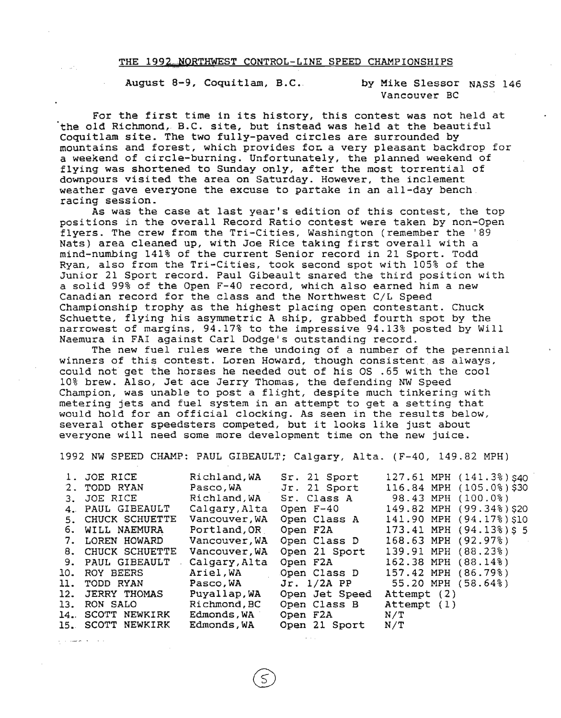#### THE 1992 NORTHWEST CONTROL-LINE SPEED CHAMPIONSHIPS

August 8-9, Coquitlam, B.C. by Mike Slessor NASS 146

Vancouver Be

For the first time in its history, this contest was not held at the old Richmond, B.C. site, but instead was held at the beautiful Coquitlam site. The two fully-paved circles are surrounded by mountains and forest, which provides for. a very pleasant backdrop for a weekend of circle-burning. Unfortunately, the planned weekend of flying was shortened to Sunday only, after the most torrential of downpours visited the area on Saturday. However, the inclement weather gave everyone the excuse to partake in an all-day bench. racing session.

As was the case at last year's edition of this contest, the top positions in the overall Record Ratio contest were taken by non-Open flyers. The crew from the Tri-Cities, Washington (remember the '89 Nats) area cleaned up, with Joe Rice taking first overall with <sup>a</sup> mind-numbing 141% of the current Senior record in 21 Sport. Todd Ryan, also from the Tri-Cities, took second spot with 105% of the Junior <sup>21</sup> Sport record. Paul Gibeault snared the third position with a solid 99% of the Open F-40 record, which also earned him a new Canadian record for the class and the Northwest *CIL* Speed Championship trophy as the highest placing open contestant. Chuck Schuette, flying his asymmetric A ship, grabbed fourth spot by the narrowest of margins, 94.17% to the impressive 94.13% posted by Will Naemura in FA! against Carl Dodge's outstanding record.

The new fuel rules were the undoing of a number of the perennial winners of this contest. Loren Howard, though consistent as always, could not get the horses he needed out of his OS .65 with the cool 10% brew. Also, Jet ace Jerry Thomas, the defending NW Speed Champion, was unable to post <sup>a</sup> flight, despite much tinkering with metering jets and fuel system in an attempt to get <sup>a</sup> setting that would hold for an official clocking. As seen in the results below, several other speedsters competed, but it looks like just about everyone will need some more development time on the new juice.

1992 NW SPEED CHAMP: PAUL GIBEAULT; Calgary, Alta. (F-40, 149.82 MPH)

| 1. JOE RICE       | Richland, WA  | Sr. 21 Sport   | 127.61 MPH (141.3%) S40  |
|-------------------|---------------|----------------|--------------------------|
| 2. TODD RYAN      | Pasco, WA     | Jr. 21 Sport   | 116.84 MPH (105.0%)\$30  |
| 3. JOE RICE       | Richland, WA  | Sr. Class A    | 98.43 MPH (100.0%)       |
| 4. PAUL GIBEAULT  | Calgary, Alta | Open F-40      | 149.82 MPH (99.34%) \$20 |
| 5. CHUCK SCHUETTE | Vancouver, WA | Open Class A   | 141.90 MPH (94.17%) \$10 |
| 6. WILL NAEMURA   | Portland, OR  | Open F2A       | 173.41 MPH (94.13%) \$ 5 |
| 7. LOREN HOWARD   | Vancouver, WA | Open Class D   | 168.63 MPH (92.97%)      |
| 8. CHUCK SCHUETTE | Vancouver, WA | Open 21 Sport  | 139.91 MPH (88.23%)      |
| 9. PAUL GIBEAULT  | Calgary, Alta | Open F2A       | 162.38 MPH (88.14%)      |
| 10. ROY BEERS     | Ariel, WA     | Open Class D   | 157.42 MPH (86.79%)      |
| 11. TODD RYAN     | Pasco,WA      | $Jr. 1/2A$ PP  | 55.20 MPH (58.64%)       |
| 12. JERRY THOMAS  | Puyallap, WA  | Open Jet Speed | Attempt (2)              |
| 13. RON SALO      | Richmond, BC  | Open Class B   | Attempt (1)              |
| 14. SCOTT NEWKIRK | Edmonds, WA   | Open F2A       | N/T                      |
| 15. SCOTT NEWKIRK | Edmonds,WA    | Open 21 Sport  | N/T                      |
|                   |               |                |                          |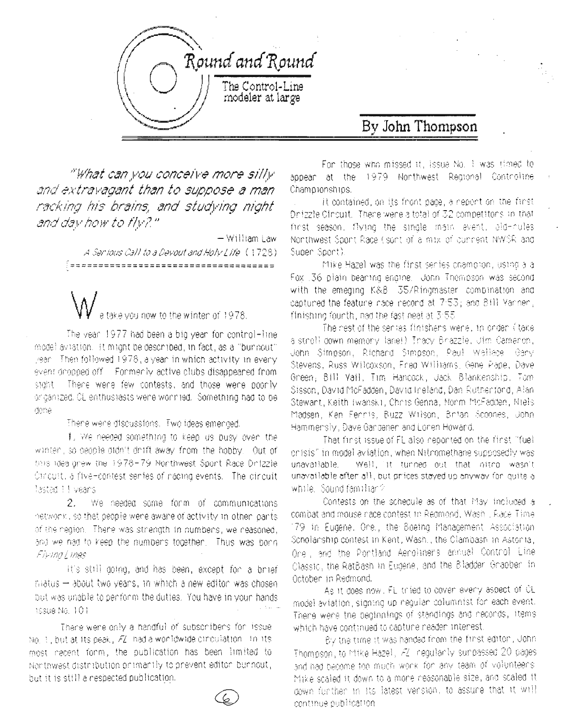

### By John Thompson

"What can you conceive more silly and extravagant than to suppose a man racking his brains, and studying night and day how to fly?"

> - William Law A Servious Call to a Devout and Holy Life (1728) (=====================================

take vou now to the winter of 1978.

The year 1977 had been a big year for control-line model aviation. It might be described, in fact, as a "burnout" year. Then followed 1978, a year in which activity in every event deppeed off. Formedly active clubs disappeared from There were few contests, and those were poonly store or ganized. OL enthusiasts were wornlied. Something had to be done

There were discussions. Two ideas emerged,

1. We needed something to keep us busy oven the winten, so beople aton't drift away from the hobby. Out of thus idea onew the 1978-79 Nonthwest Spont Race Dirtzzle Omoutt, a five-contest senies of nading events. The dincuit **lastad I I veans** 

2. We needed some form of communications netwonk, so that people wene aware of activity in other pants of the neglion. Thene was strength in numbers, we reasoned, and we had to keep the numbers together. Thus was bonn Firmal mes

It's still going, and has been, except for a brief matus - about two years, in which a new editor was chosen but was unable to penform the duties. You have in your hands Issue No. 101

There were only a handful of subscribers for issue No. 1, but at its peak, FZ, had a wonldwide circulation. In its most nacent form, the publication has been limited to Nonthwest distribution or imanily to prevent editor burnout, but it is still a respected publication.

For those who missed it, issue No. I was timed to appear at the 1979 Northwest Regional Controline Chamoronships.

it contained, on its front page, a report on the first Dnizzle Cincuit. There were a total of 32 competitors in that first season, flying the single main event, ald-hules Nonthwest Soont Race (sont of a mix of current NWSR and Super Sport).

Mike Hazel was the first senies champion, using a a Fox 36 plain beaming engine. John Thompson was second with the emeging K&B 35/Ringmaster combination and captured the feature nace record at 7:53; and 8:11 Variner. finishing fourth, nad the fast neat at 3:55

The nest of the senies finishers were, in order (itake) a stroll down memory lane!) Tracy Brazzle, Uim Cameron, John Simpson, Richard Simpson, Paul Wellace, Gary Stevens, Russ Wilcoxson, Fred Williams, Gene Pape, Dave Green, Bill Yail, Tim Hancock, Jack Blankenship, Tom Sisson, David McFadden, David Ineland, Dan Rutherford, Alan Stewant, Keith (wansk), Chris Genna, Norm McFadden, Miels Madsen, Ken Fennis, Buzz Wilson, Brian Scophes, John Hammensly, Dave Gandenen and Lonen Howard.

That finst issue of FL also neconted on the finst "fuel onisis" in model aviation, when Nitromethane supposedly was Well, it tunned out that nitro wasn't unavattable unavailable after all, but prices stayed up anyway for quite a while. Sound familian?

Contests on the schequile as of that May included a combat and mouse nace contest to Regmond, Wash , Race Time, 179 in Eudene, One, the Boeing Management Association Scholarship contest in Kent, Wash., the Clambash in Astonia, One, and the Pontland Aenolinars annual Control Line Classic, the RatBash in Eudene, and the Bladder Grapber in October in Redmond.

As it does now, FL tried to cover every aspect of CL. model aviation, signing up nequian columnist for each event. Thene wene the beginnings of standings and neconds, items which have continued to capture neader interest.

By the time it was handed from the first editor, John Thompson, to httke Hazel, AZ, negularly sunpassed 20 pages and had become foo much work for any team of volunteers. Mike scaled it down to a more neasonable size, and scaled it down funther in its latest vension, to assure that it will continue publication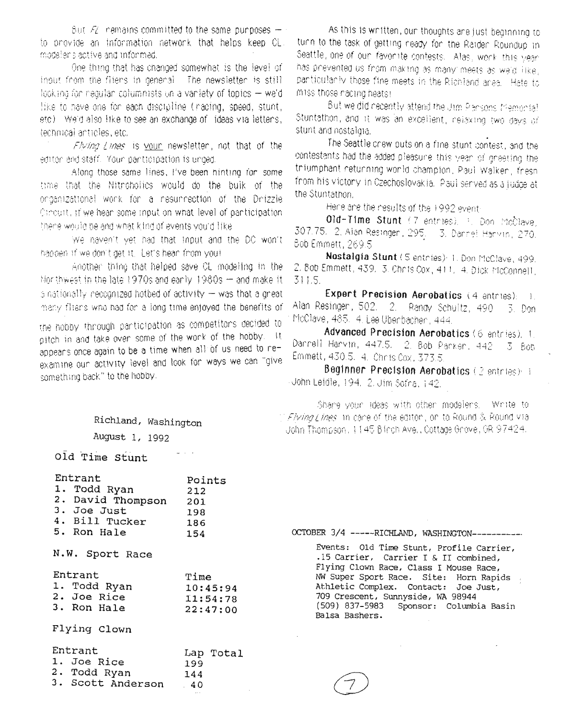Sut  $\mathcal{F}_k$  remains committed to the same purposes  $\pm$ to provide an information network that belos keep CL. modeler's active and informed.

One thing that has changed somewhat is the level of input from the filens in general. The newsletter is still looking for negular columnists on a variety of topics  $-$  we'd like to have one for each discipline (racing, speed, stunt, leto). We'd also like to see an exchange of lideas yia lettens, technical anticles, etc.

Flying Lines is your newsletter, not that of the editor and staff. Your participation is unged.

Along those same lines, I've been hinting for some time that the Nitroholics would do the buik of the onganizational work for a resurrection of the Drizzle Cincuit, if we hear some inpution what level of panticipation. there would be and what kind of events you'd like.

We haven't yet had that input and the DC won't happen if we don't get it. Let's hear from you!

Another thing that helped save CL modeling in the Morthwest in the late 1970s and early 1980s - and make it is nationally necognized hotbed of activity - was that a great many fliens who had for a long time enjoyed the benefits of

the hobby through participation as competitors decided to pitch in and take over some of the work of the hobby. It appears once again to be a time when all of us need to reexamine our activity level and look for ways we can "give something back." to the hobby.

As this is written, our thoughts are just beginning to turn to the task of getting neady for the Raider Roundup in Seattle, one of our favorite contests. Alas, work this year has pnevented us from making as many meets as we'd like, panticularly those fine meets in the Richland area. Hate to miss those nacing heats!

But we did necently attend the Jim Pansons Memorial Stuntathon, and it was an excellent, nelexing two days of stunt and nostaligia.

The Seattle crew puts on a fine stunt contest, and the contestants had the added pleasure this year of greeting the triumphant returning world champion, Paul Walker, fresh. from his victory in Czechoslovakia. Paul served as a judge at the Stuntathon.

Hene are the results of the 1992 event-

Old-Time Stunt (7 entries), 3. Don McClave, 307.75, 2, Alan Resingen, 295. 3, Dannet Hanvin, 270. Bob Emmett, 269.5

Nostalgia Stunt (5 entries): 1. Don McClave, 499. 2. Bob Emmett, 439. 3. Chris Cox, 411. 4. Dick McConnell, 311.5

Expert Precision Aerobatics (4 antries): 1. Alan Resinger, 502. 2. Randy Schultz, 490.  $5.$  Don McClave, 485. 4. Lee Obenbachen, 444.

Advanced Precision Aerobatics (6 entries), 1. Dannell Hanvin, 447.5. 2. Bob Panken, 442 3 Boh Emmett, 430.5. 4. Chris Cox, 373.5.

Beginner Precision Aerobatics (2 entries): i Uohn Leidle, 194.-2. Jim Sofna, 142.

Share your ideas with other modelers. Write to 半*Flying I ines* in cace of the editor , on to Round & Round via John Thompson, 1145 Blinch Ave., Cottage Gnove, OR 97424.

Richland, Washington August 1, 1992

old Time Stunt

| Entrant<br>1. Todd Ryan<br>2. David Thompson 201<br>3. Joe Just<br>4. Bill Tucker<br>5. Ron Hale | Points<br>212<br>198<br>186<br>154       |
|--------------------------------------------------------------------------------------------------|------------------------------------------|
| N.W. Sport Race                                                                                  |                                          |
| Entrant<br>1. Todd Ryan<br>2. Joe Rice<br>3. Ron Hale                                            | Time<br>10:45:94<br>11:54:78<br>22:47:00 |
| Flying Clown                                                                                     |                                          |
| Entrant<br>1. Joe Rice<br>2. Todd Ryan<br>3. Scott Anderson                                      | Lap Total<br>199<br>144<br>40            |

OCTOBER 3/4 ------RICHLAND, WASHINGTON-----------

Events: Old Time Stunt, Profile Carrier, .15 Carrier, Carrier I & II combined, Flying Clown Race, Class I Mouse Race, NW Super Sport Race. Site: Horn Rapids Athletic Complex. Contact: Joe Just, 709 Crescent, Sunnyside, WA 98944  $(509)$  837-5983 Sponsor: Columbia Basin Balsa Bashers.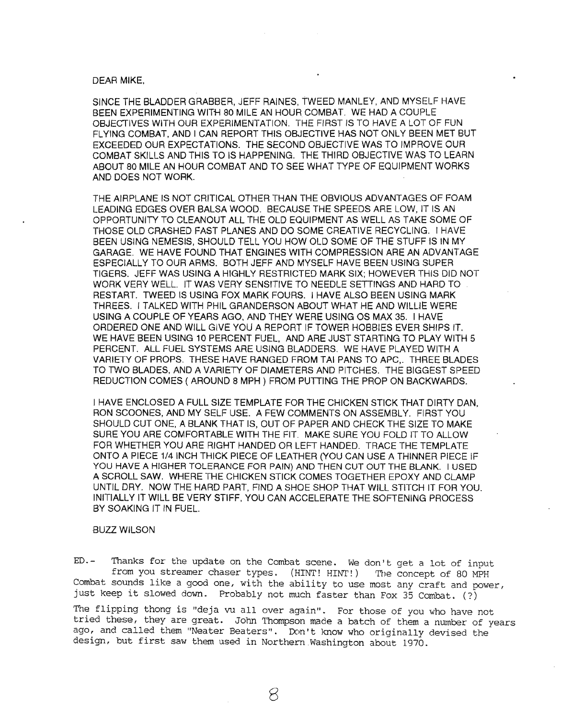### DEAR MIKE,

SINCE THE BLADDER GRABBER, JEFF RAINES, TWEED MANLEY, AND MYSELF HAVE BEEN EXPERIMENTING WITH 80 MILE AN HOUR. COMBAT. WE HAD A COUPLE OBJECTIVES WITH OUR EXPERIMENTATION. THE FIRST IS TO HAVE A LOT OF FUN FLYING COMBAT, AND I CAN REPORT THIS OBJECTIVE HAS NOT ONLY BEEN MET BUT EXCEEDED OUR EXPECTATIONS. THE SECOND OBJECTIVE WAS TO IMPROVE OUR COMBAT SKILLS AND THIS TO IS HAPPENING. THE THIRD OBJECTIVE WAS TO LEARN ABOUT 80 MILE AN HOUR COMBAT AND TO SEE WHAT TYPE OF EQUIPMENT WORKS AND DOES NOT WORK.

THE AIRPLANE IS NOT CRITICAL OTHER THAN THE OBVIOUS ADVANTAGES OF FOAM LEADING EDGES OVER BALSA WOOD. BECAUSE THE SPEEDS ARE LOW, IT IS AN OPPORTUNITY TO CLEANOUT ALL THE OLD EQUIPMENT AS WELL AS TAKE SOME OF THOSE OLD CRASHED FAST PLANES AND DO SOME CREATIVE RECYCLING. I HAVE BEEN USING NEMESIS, SHOULD TELL YOU HOW OLD SOME OF THE STUFF IS IN MY GARAGE. WE HAVE FOUND THAT ENGINES WITH COMPRESSION ARE AN ADVANTAGE ESPECIALLY TO OUR ARMS. BOTH JEFF AND MYSELF HAVE BEEN USING SUPER TIGERS. JEFF WAS USING A HIGHLY RESTRICTED MARK SIX; HOWEVER THIS DID NOT WORK VERY WELL. IT WAS VERY SENSITIVE TO NEEDLE SETTINGS AND HARD TO RESTART. TWEED IS USING FOX MARK FOURS. I HAVE ALSO BEEN USING MARK THREES. I TALKED WITH PHIL GRANDERSON ABOUT WHAT HE AND WILUE WERE USING A COUPLE OF YEARS AGO, AND THEY WERE USING OS MAX 35. I HAVE ORDERED ONE AND WILL GIVE YOU A REPORT IF TOWER HOBBIES EVER SHIPS IT. WE HAVE BEEN USING 10 PERCENT FUEL, AND ARE JUST STARTING TO PLAY WITH 5 PERCENT. ALL FUEL SYSTEMS ARE USING BLADDERS. WE HAVE PLAYED WITH A VARIETY OF PROPS. THESE HAVE RANGED FROM TAl PANS TO APC,. THREE BLADES TO TWO BLADES, AND A VARIETY OF DIAMETERS AND PITCHES. THE BIGGEST SPEED REDUCTION COMES (AROUND 8 MPH) FROM PUTTING THE PROP ON BACKWARDS.

I HAVE ENCLOSED A FULL SIZE TEMPLATE FOR THE CHICKEN STICK THAT DIRTY DAN, RON SCOONES, AND MY SELF USE. A FEW COMMENTS ON ASSEMBLY. FIRST YOU SHOULD CUT ONE, A BLANK THAT IS, OUT OF PAPER AND CHECK THE SIZE TO MAKE SURE YOU ARE COMFORTABLE WITH THE FIT. MAKE SURE YOU FOLD IT TO ALLOW FOR WHETHER YOU ARE RIGHT HANDED OR LEFT HANDED. TRACE THE TEMPLATE ONTO A PIECE 1/4 INCH THICK PIECE OF LEATHER (YOU CAN USE A THINNER PIECE IF YOU HAVE A HIGHER TOLERANCE FOR PAIN) AND THEN CUT OUT THE BLANK. I USED A SCROLL SAW. WHERE THE CHICKEN STICK COMES TOGETHER EPOXY AND CLAMP UNTIL DRY. NOW THE HARD PART, FIND A SHOE SHOP THAT WILL STITCH IT FOR YOU. INITIALLY IT WILL BE VERY STIFF, YOU CAN ACCELERATE THE SOFTENING PROCESS BY SOAKING IT IN FUEL.

### BUZZ WILSON

ED.- Thanks for the update on the Combat scene. We don't get a lot of input from you streamer chaser types. (HINT! HINT!) The concept of 80 MPH Combat sounds like a good one, with the ability to use most any craft and power, just keep it slowed down. Probably not much faster than Fox <sup>35</sup> Combat. (?)

The flipping thong is "deja vu all over again". For those of you who have not tried these, they are great. John Thompson made a batch of them a number of years ago, and called them "Neater Beaters". Don't know who originally devised the design, but first saw them used in Northern Washington about 1970.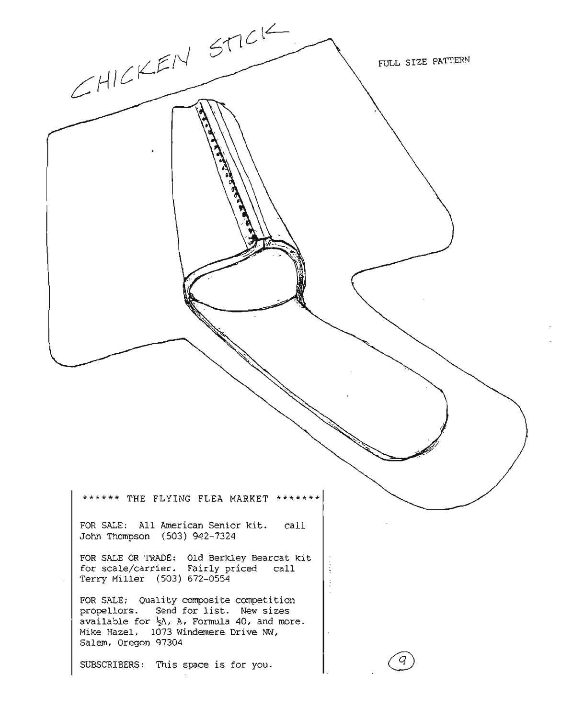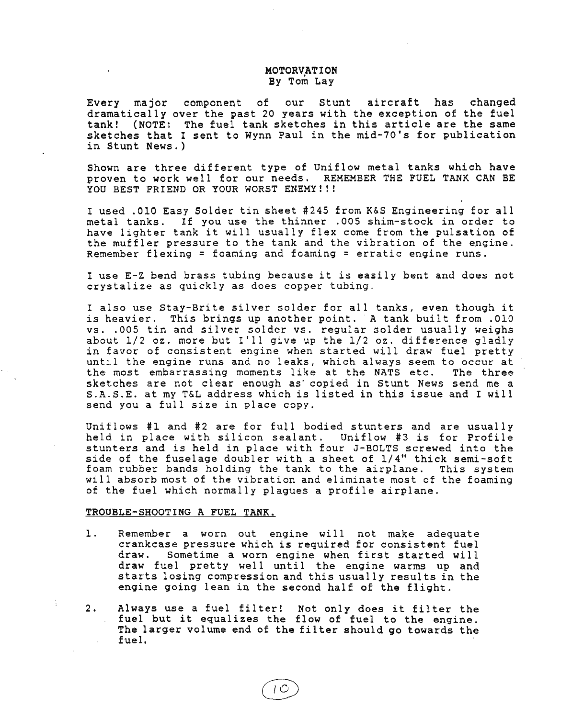### MOTORVATION By Tom Lay

Every major component of our stunt aircraft has changed dramatically over the past 20 years with the exception of the fuel tank! (NOTE: The fuel tank sketches in this article are the same sketches that <sup>I</sup> sent to Wynn Paul in the mid-70's for publication in Stunt News.)

Shown are three different type of Uniflow metal tanks which have proven to work well for our needs. REMEMBER THE FUEL TANK CAN BE YOU BEST FRIEND OR YOUR WORST ENEMY!!!

<sup>I</sup> used .010 Easy Solder tin sheet #245 from K&S Engineering for all metal tanks. If you use the thinner .005 shim-stock in order to have lighter tank it will usually flex come from the pulsation of the muffler pressure to the tank and the vibration of the engine. Remember flexing = foaming and foaming = erratic engine runs.

<sup>I</sup> use E-Z bend brass tubing because it is easily bent and does not crystalize as quickly as does copper tubing.

<sup>I</sup> also use Stay-Brite silver solder for all tanks, even though it is heavier. This brings up another point. <sup>A</sup> tank built from .010 vs. .005 tin and silver solder vs. regular solder usually weighs about 1/2 oz. more but I'll give up the 1/2 oz. difference gladly in favor of consistent engine when started will draw fuel pretty until the engine runs and no leaks, which always seem to occur at<br>the most embarrassing moments like at the NATS etc. The three the most embarrassing moments like at the NATS etc. sketches are not clear enough as' copied in stunt News send me a S.A.S.E. at my T&L address which is listed in this issue and <sup>I</sup> will send you a full size in place copy.

Uniflows #1 and #2 are for full bodied stunters and are usually held in place with silicon sealant. Uniflow #3 is for Profile stunters and is held in place with four J-BOLTS screwed into the side of the fuselage doubler with a sheet of 1/4" thick semi-soft foam rubber bands holding the tank to the airplane. This system will absorb most of the vibration and eliminate most of the foaming of the fuel which normally plagues <sup>a</sup> profile airplane.

#### TROUBLE-SHOOTING A FUEL TANK.

- 1. Remember a worn out engine will not make adequate crankcase pressure which is required for consistent fuel draw. Sometime a worn engine when first started will draw fuel pretty well until the engine warms up and starts losing compression and this usually results in the engine going lean in the second half of the flight.
- 2. Always use <sup>a</sup> fuel filter! Not only does it filter the fuel but it equalizes the flow of fuel to the engine. The larger volume end of the filter should go towards the fuel.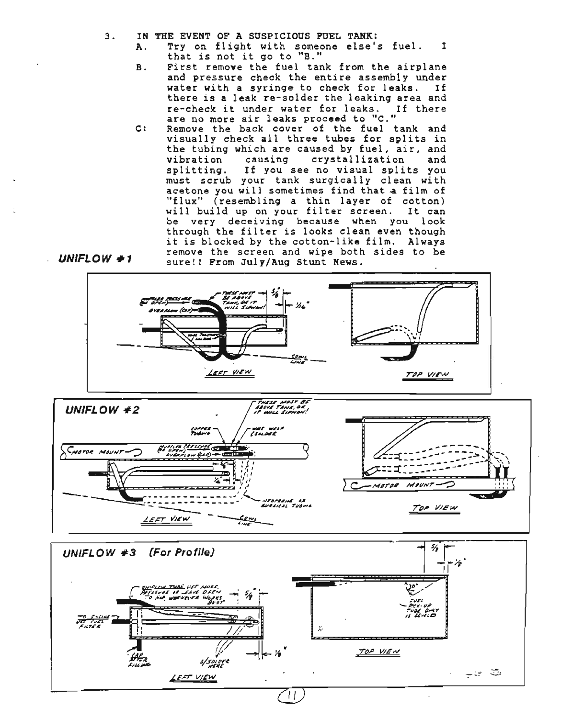$3.$ IN THE EVENT OF A SUSPICIOUS PUEL TANK:

 $L$  UNIFLOW #1

- Try on flight with someone else's fuel.  $\mathbf{T}$  $\lambda$ . that is not it go to "B."
- First remove the fuel tank from the airplane  $B.$ and pressure check the entire assembly under water with a syringe to check for leaks. If there is a leak re-solder the leaking area and re-check it under water for leaks. If there are no more air leaks proceed to "C."
- $C:$ Remove the back cover of the fuel tank and visually check all three tubes for splits in the tubing which are caused by fuel, air, and vibration causing crystallization and splitting. If you see no visual splits you must scrub your tank surgically clean with acetone you will sometimes find that a film of "flux" (resembling a thin layer of cotton)<br>will build up on your filter screen. It can be very deceiving because when you look through the filter is looks clean even though it is blocked by the cotton-like film. Always remove the screen and wipe both sides to be sure!! From July/Aug Stunt News.



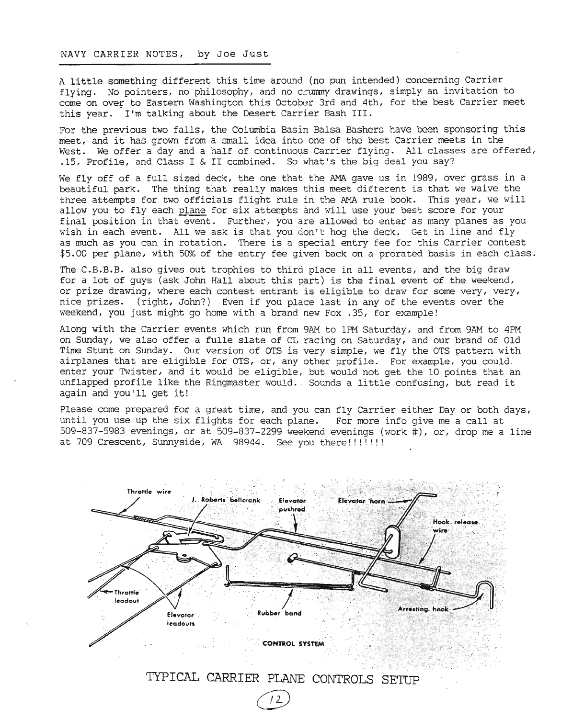#### NAVY CARRIER NOTES, by Joe Just

<sup>A</sup> little something different this time around (no pun intended) concerning Carrier flying. No pointers, no philosophy, and no c $\gamma$  drawings, simply an invitation to come on over to Eastern Washington this October 3rd and 4th, for the best Carrier meet this year. I'm talking about the Desert Carrier Bash III.

For the previous two falls, the Columbia Basin Balsa Bashers have been sponsoring this meet, and it has grown from <sup>a</sup> small idea into one of the best Carrier meets in the West. We offer a day and a half of continuous Carrier flying. All classes are offered, .15, Profile, and Class I & II ccrnbined. So what's the big deal you say?

We fly off of a full sized deck, the one that the AMA gave us in 1989, over grass in a beautiful park. The thing that really makes this meet different is that we waive the three attempts for two officials flight rule in the AMA rule book. This year, we will allow you to fly each plane for six attempts and will use your best score for your final position in that event. Further, you are allowed to enter as many planes as you wish in each event. All we ask is that you don't hog the deck. Get in line and fly as much as you can in rotation. There is a special entry fee for this Carrier contest \$5.00 per plane, with 50% of the entry fee given back on a prorated basis in each class.

The C.B.B.B. also gives out trophies to third place in all events, and the big draw for a lot of guys (ask John Hall about this part) is the final event of the weekend, or prize drawing, where each contest entrant is eligible to draw for some very, very, nice prizes. (right, John?) Even if you place last in any of the events over the weekend, you just might go home with a brand new Fox .35, for example!

Along with the Carrier events which run from 9AM to 1PM Saturday, and from 9AM to 4PM on Sunday, we also offer a fulle slate of CL racing on Saturday, and our brand of Old Time Stunt on Sunday. Our version of OTS is very simple, we fly the OTS pattern with airplanes that are eligible for OTS, or, any other profile. For example, you could enter your Twister, and it would be eligible, but would not get the <sup>10</sup> points that an unflapped profile like the Ringmaster WOUld .. Sounds <sup>a</sup> little confusing, but read it again and you'll get it!

Please come prepared for a great time, and you can fly Carrier either Day or both days, until you use up the six flights for each plane. For more info give me a call at 509-837-5983 evenings, or at 509-837-2299 weekend evenings (work #), or, drop me a line at 709 Crescent, Sunnyside, WA 98944. See you there!!!!!!!!



TYPICAL CARRIER PLANE CONTROLS SETUP

 $12$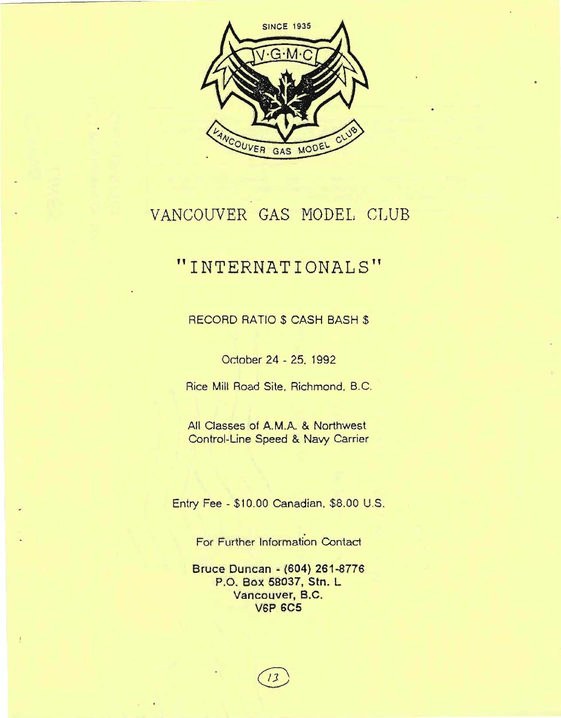

### VANCOUVER GAS MODEL CLUB

### **"INTERNATIONALS"**

RECORD RATIO \$ CASH BASH \$

Odober 24 - 25, 1992

Rice Mill Road Site, Richmond. B. C.

All Classes of A.M.A. & Northwest Control-Line Speed & Navy Carrier

Entry Fee - \$10.00 Canadian, \$8.00 U.S.

For Further Information Contact

**Bruce Duncan - (604) 261-8776** P.O. **Box** 58037, Stn. L **Vancouver,** B.C. **V6P 6C5**

 $1<sup>3</sup>$